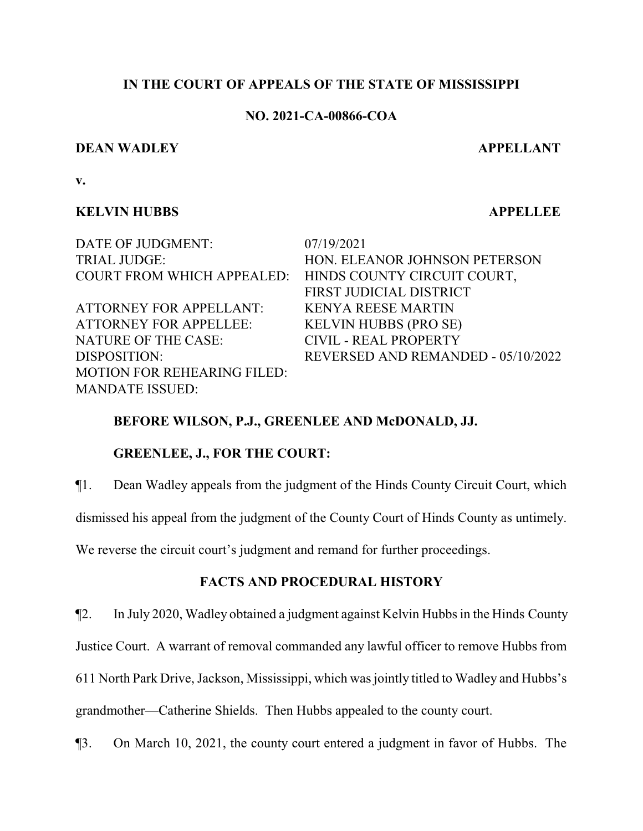#### **IN THE COURT OF APPEALS OF THE STATE OF MISSISSIPPI**

#### **NO. 2021-CA-00866-COA**

#### **DEAN WADLEY APPELLANT**

**v.**

### **KELVIN HUBBS APPELLEE**

DATE OF JUDGMENT: 07/19/2021 COURT FROM WHICH APPEALED: HINDS COUNTY CIRCUIT COURT,

ATTORNEY FOR APPELLANT: KENYA REESE MARTIN ATTORNEY FOR APPELLEE: KELVIN HUBBS (PRO SE) NATURE OF THE CASE: CIVIL - REAL PROPERTY MOTION FOR REHEARING FILED: MANDATE ISSUED:

TRIAL JUDGE: HON. ELEANOR JOHNSON PETERSON FIRST JUDICIAL DISTRICT DISPOSITION: REVERSED AND REMANDED - 05/10/2022

## **BEFORE WILSON, P.J., GREENLEE AND McDONALD, JJ.**

## **GREENLEE, J., FOR THE COURT:**

¶1. Dean Wadley appeals from the judgment of the Hinds County Circuit Court, which

dismissed his appeal from the judgment of the County Court of Hinds County as untimely.

We reverse the circuit court's judgment and remand for further proceedings.

# **FACTS AND PROCEDURAL HISTORY**

¶2. In July 2020, Wadley obtained a judgment against Kelvin Hubbs in the Hinds County

Justice Court. A warrant of removal commanded any lawful officer to remove Hubbs from

611 North Park Drive, Jackson, Mississippi, which was jointly titled to Wadley and Hubbs's

grandmother—Catherine Shields. Then Hubbs appealed to the county court.

¶3. On March 10, 2021, the county court entered a judgment in favor of Hubbs. The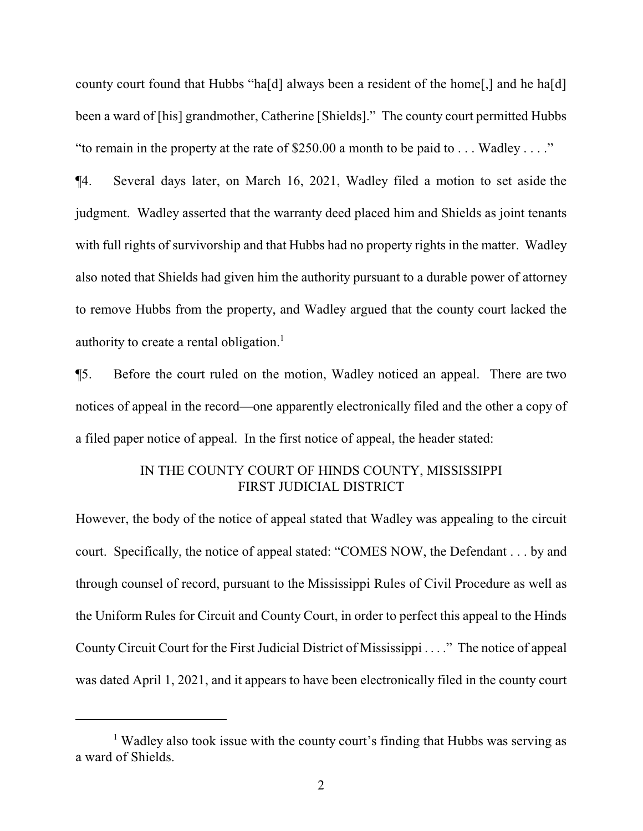county court found that Hubbs "ha[d] always been a resident of the home[,] and he ha[d] been a ward of [his] grandmother, Catherine [Shields]." The county court permitted Hubbs "to remain in the property at the rate of \$250.00 a month to be paid to  $\dots$  Wadley  $\dots$ ."

¶4. Several days later, on March 16, 2021, Wadley filed a motion to set aside the judgment. Wadley asserted that the warranty deed placed him and Shields as joint tenants with full rights of survivorship and that Hubbs had no property rights in the matter. Wadley also noted that Shields had given him the authority pursuant to a durable power of attorney to remove Hubbs from the property, and Wadley argued that the county court lacked the authority to create a rental obligation.<sup>1</sup>

¶5. Before the court ruled on the motion, Wadley noticed an appeal. There are two notices of appeal in the record—one apparently electronically filed and the other a copy of a filed paper notice of appeal. In the first notice of appeal, the header stated:

## IN THE COUNTY COURT OF HINDS COUNTY, MISSISSIPPI FIRST JUDICIAL DISTRICT

However, the body of the notice of appeal stated that Wadley was appealing to the circuit court. Specifically, the notice of appeal stated: "COMES NOW, the Defendant . . . by and through counsel of record, pursuant to the Mississippi Rules of Civil Procedure as well as the Uniform Rules for Circuit and County Court, in order to perfect this appeal to the Hinds CountyCircuit Court for the First Judicial District of Mississippi . . . ." The notice of appeal was dated April 1, 2021, and it appears to have been electronically filed in the county court

<sup>&</sup>lt;sup>1</sup> Wadley also took issue with the county court's finding that Hubbs was serving as a ward of Shields.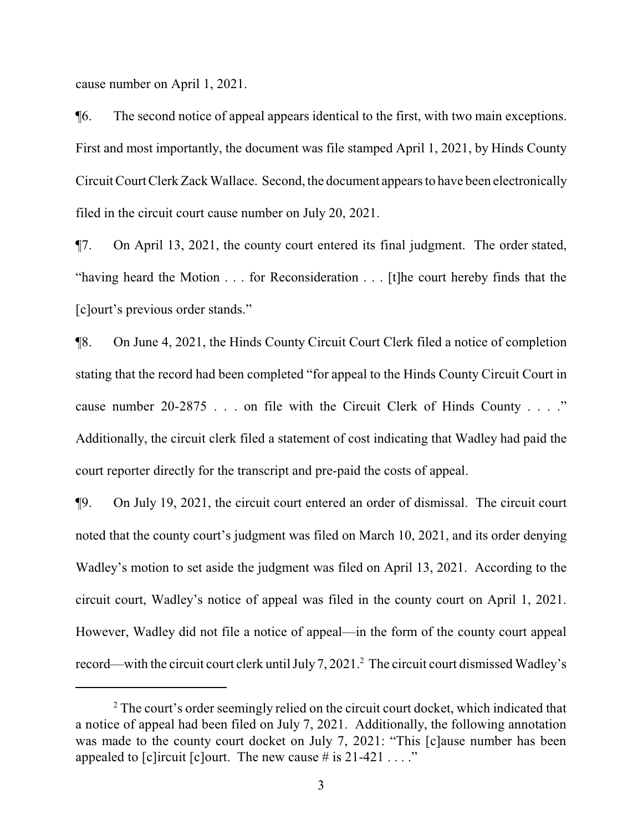cause number on April 1, 2021.

¶6. The second notice of appeal appears identical to the first, with two main exceptions. First and most importantly, the document was file stamped April 1, 2021, by Hinds County Circuit Court Clerk Zack Wallace. Second, the document appears to have been electronically filed in the circuit court cause number on July 20, 2021.

¶7. On April 13, 2021, the county court entered its final judgment. The order stated, "having heard the Motion . . . for Reconsideration . . . [t]he court hereby finds that the [c]ourt's previous order stands."

¶8. On June 4, 2021, the Hinds County Circuit Court Clerk filed a notice of completion stating that the record had been completed "for appeal to the Hinds County Circuit Court in cause number 20-2875 . . . on file with the Circuit Clerk of Hinds County . . . ." Additionally, the circuit clerk filed a statement of cost indicating that Wadley had paid the court reporter directly for the transcript and pre-paid the costs of appeal.

¶9. On July 19, 2021, the circuit court entered an order of dismissal. The circuit court noted that the county court's judgment was filed on March 10, 2021, and its order denying Wadley's motion to set aside the judgment was filed on April 13, 2021. According to the circuit court, Wadley's notice of appeal was filed in the county court on April 1, 2021. However, Wadley did not file a notice of appeal—in the form of the county court appeal record—with the circuit court clerk until July 7, 2021.<sup>2</sup> The circuit court dismissed Wadley's

<sup>&</sup>lt;sup>2</sup> The court's order seemingly relied on the circuit court docket, which indicated that a notice of appeal had been filed on July 7, 2021. Additionally, the following annotation was made to the county court docket on July 7, 2021: "This [c]ause number has been appealed to [c]ircuit [c]ourt. The new cause  $\#$  is 21-421 . . . ."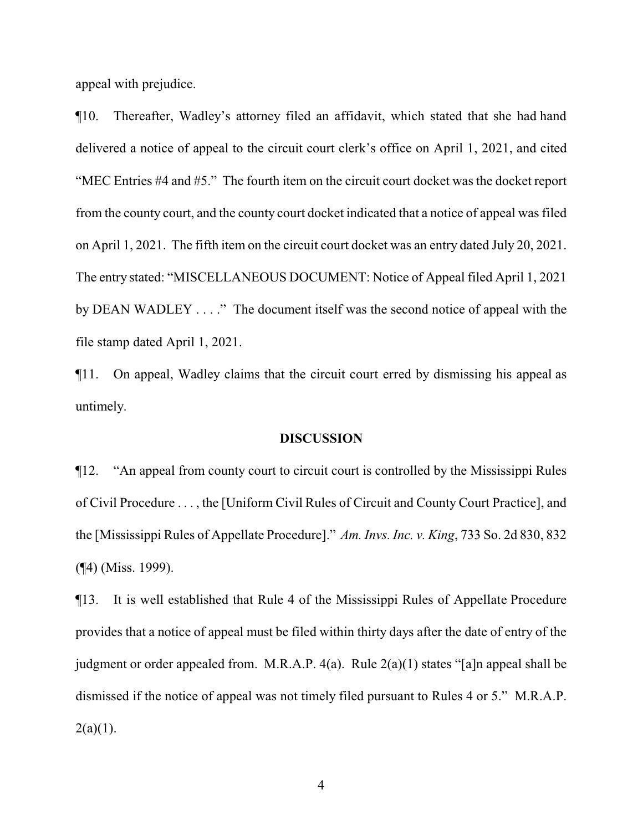appeal with prejudice.

¶10. Thereafter, Wadley's attorney filed an affidavit, which stated that she had hand delivered a notice of appeal to the circuit court clerk's office on April 1, 2021, and cited "MEC Entries #4 and #5." The fourth item on the circuit court docket was the docket report from the county court, and the county court docket indicated that a notice of appeal was filed on April 1, 2021. The fifth item on the circuit court docket was an entry dated July 20, 2021. The entry stated: "MISCELLANEOUS DOCUMENT: Notice of Appeal filed April 1, 2021 by DEAN WADLEY . . . ." The document itself was the second notice of appeal with the file stamp dated April 1, 2021.

¶11. On appeal, Wadley claims that the circuit court erred by dismissing his appeal as untimely.

#### **DISCUSSION**

¶12. "An appeal from county court to circuit court is controlled by the Mississippi Rules of Civil Procedure . . . , the [Uniform Civil Rules of Circuit and County Court Practice], and the [Mississippi Rules of Appellate Procedure]." *Am. Invs. Inc. v. King*, 733 So. 2d 830, 832 (¶4) (Miss. 1999).

¶13. It is well established that Rule 4 of the Mississippi Rules of Appellate Procedure provides that a notice of appeal must be filed within thirty days after the date of entry of the judgment or order appealed from. M.R.A.P. 4(a). Rule 2(a)(1) states "[a]n appeal shall be dismissed if the notice of appeal was not timely filed pursuant to Rules 4 or 5." M.R.A.P.  $2(a)(1)$ .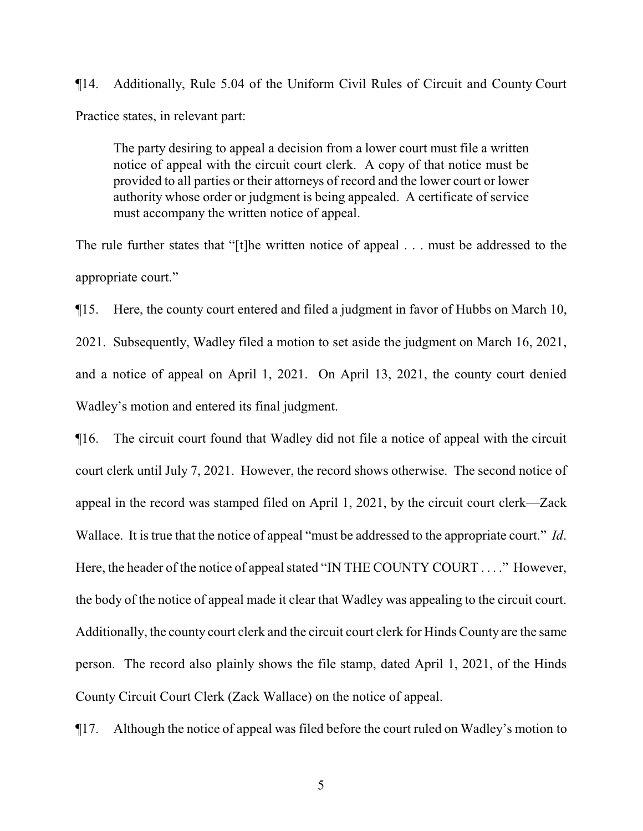¶14. Additionally, Rule 5.04 of the Uniform Civil Rules of Circuit and County Court Practice states, in relevant part:

The party desiring to appeal a decision from a lower court must file a written notice of appeal with the circuit court clerk. A copy of that notice must be provided to all parties or their attorneys of record and the lower court or lower authority whose order or judgment is being appealed. A certificate of service must accompany the written notice of appeal.

The rule further states that "[t]he written notice of appeal . . . must be addressed to the appropriate court."

¶15. Here, the county court entered and filed a judgment in favor of Hubbs on March 10, 2021. Subsequently, Wadley filed a motion to set aside the judgment on March 16, 2021, and a notice of appeal on April 1, 2021. On April 13, 2021, the county court denied Wadley's motion and entered its final judgment.

¶16. The circuit court found that Wadley did not file a notice of appeal with the circuit court clerk until July 7, 2021. However, the record shows otherwise. The second notice of appeal in the record was stamped filed on April 1, 2021, by the circuit court clerk—Zack Wallace. It is true that the notice of appeal "must be addressed to the appropriate court." *Id*. Here, the header of the notice of appeal stated "IN THE COUNTY COURT . . . ." However, the body of the notice of appeal made it clear that Wadley was appealing to the circuit court. Additionally, the county court clerk and the circuit court clerk for Hinds County are the same person. The record also plainly shows the file stamp, dated April 1, 2021, of the Hinds County Circuit Court Clerk (Zack Wallace) on the notice of appeal.

¶17. Although the notice of appeal was filed before the court ruled on Wadley's motion to